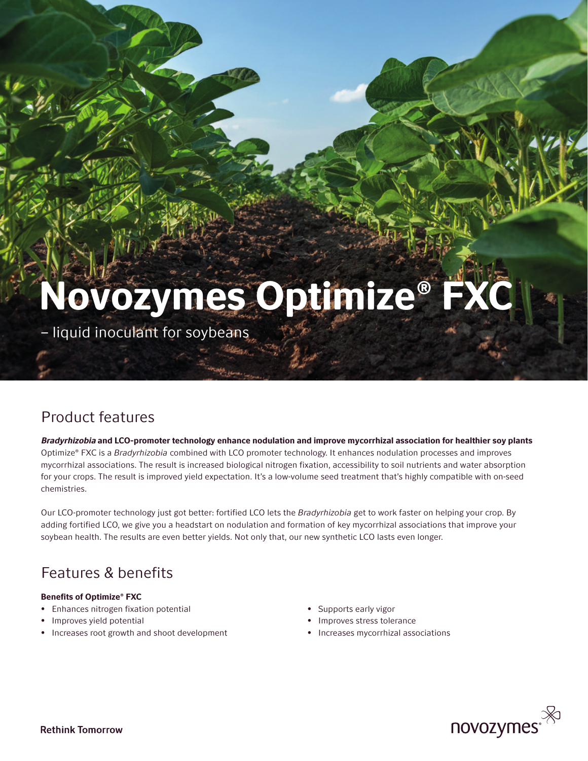# Novozymes Optimize® FX

– liquid inoculant for soybeans

## Product features

Bradyrhizobia and LCO-promoter technology enhance nodulation and improve mycorrhizal association for healthier soy plants Optimize® FXC is a *Bradyrhizobia* combined with LCO promoter technology. It enhances nodulation processes and improves mycorrhizal associations. The result is increased biological nitrogen fixation, accessibility to soil nutrients and water absorption for your crops. The result is improved yield expectation. It's a low-volume seed treatment that's highly compatible with on-seed chemistries.

Our LCO-promoter technology just got better: fortified LCO lets the *Bradyrhizobia* get to work faster on helping your crop. By adding fortified LCO, we give you a headstart on nodulation and formation of key mycorrhizal associations that improve your soybean health. The results are even better yields. Not only that, our new synthetic LCO lasts even longer.

## Features & benefits

#### Benefits of Optimize® FXC

- Enhances nitrogen fixation potential
- Improves yield potential
- Increases root growth and shoot development
- Supports early vigor
- Improves stress tolerance
- Increases mycorrhizal associations